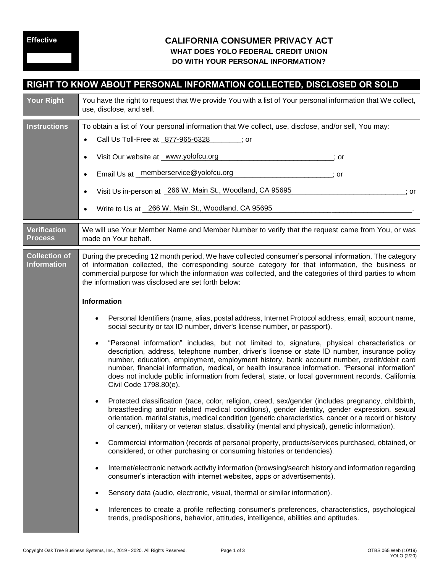## **Effective CALIFORNIA CONSUMER PRIVACY ACT WHAT DOES YOLO FEDERAL CREDIT UNION DO WITH YOUR PERSONAL INFORMATION?**

| RIGHT TO KNOW ABOUT PERSONAL INFORMATION COLLECTED, DISCLOSED OR SOLD |                                                                                                                                                                                                                                                                                                                                                                                                                                                                                                                                                                                                                                                                                                                                                                                                                                                                                                                                                                                                                                                                                                                                                                                                                                                                                                                                                                                                                                                                                                                                                                                                                                                                                                                                                                          |  |
|-----------------------------------------------------------------------|--------------------------------------------------------------------------------------------------------------------------------------------------------------------------------------------------------------------------------------------------------------------------------------------------------------------------------------------------------------------------------------------------------------------------------------------------------------------------------------------------------------------------------------------------------------------------------------------------------------------------------------------------------------------------------------------------------------------------------------------------------------------------------------------------------------------------------------------------------------------------------------------------------------------------------------------------------------------------------------------------------------------------------------------------------------------------------------------------------------------------------------------------------------------------------------------------------------------------------------------------------------------------------------------------------------------------------------------------------------------------------------------------------------------------------------------------------------------------------------------------------------------------------------------------------------------------------------------------------------------------------------------------------------------------------------------------------------------------------------------------------------------------|--|
| <b>Your Right</b>                                                     | You have the right to request that We provide You with a list of Your personal information that We collect,<br>use, disclose, and sell.                                                                                                                                                                                                                                                                                                                                                                                                                                                                                                                                                                                                                                                                                                                                                                                                                                                                                                                                                                                                                                                                                                                                                                                                                                                                                                                                                                                                                                                                                                                                                                                                                                  |  |
| <b>Instructions</b>                                                   | To obtain a list of Your personal information that We collect, use, disclose, and/or sell, You may:<br>Call Us Toll-Free at 877-965-6328 (30)<br>Visit Our website at _www.yolofcu.org<br>; or<br>Email Us at _ memberservice@yolofcu.org<br>$\overline{\phantom{a}}$ ; or<br>Visit Us in-person at 266 W. Main St., Woodland, CA 95695<br>; or<br>Write to Us at 266 W. Main St., Woodland, CA 95695                                                                                                                                                                                                                                                                                                                                                                                                                                                                                                                                                                                                                                                                                                                                                                                                                                                                                                                                                                                                                                                                                                                                                                                                                                                                                                                                                                    |  |
| <b>Verification</b><br><b>Process</b>                                 | We will use Your Member Name and Member Number to verify that the request came from You, or was<br>made on Your behalf.                                                                                                                                                                                                                                                                                                                                                                                                                                                                                                                                                                                                                                                                                                                                                                                                                                                                                                                                                                                                                                                                                                                                                                                                                                                                                                                                                                                                                                                                                                                                                                                                                                                  |  |
| <b>Collection of</b><br><b>Information</b>                            | During the preceding 12 month period, We have collected consumer's personal information. The category<br>of information collected, the corresponding source category for that information, the business or<br>commercial purpose for which the information was collected, and the categories of third parties to whom<br>the information was disclosed are set forth below:<br>Information                                                                                                                                                                                                                                                                                                                                                                                                                                                                                                                                                                                                                                                                                                                                                                                                                                                                                                                                                                                                                                                                                                                                                                                                                                                                                                                                                                               |  |
|                                                                       | Personal Identifiers (name, alias, postal address, Internet Protocol address, email, account name,<br>social security or tax ID number, driver's license number, or passport).<br>"Personal information" includes, but not limited to, signature, physical characteristics or<br>description, address, telephone number, driver's license or state ID number, insurance policy<br>number, education, employment, employment history, bank account number, credit/debit card<br>number, financial information, medical, or health insurance information. "Personal information"<br>does not include public information from federal, state, or local government records. California<br>Civil Code 1798.80(e).<br>Protected classification (race, color, religion, creed, sex/gender (includes pregnancy, childbirth,<br>breastfeeding and/or related medical conditions), gender identity, gender expression, sexual<br>orientation, marital status, medical condition (genetic characteristics, cancer or a record or history<br>of cancer), military or veteran status, disability (mental and physical), genetic information).<br>Commercial information (records of personal property, products/services purchased, obtained, or<br>considered, or other purchasing or consuming histories or tendencies).<br>Internet/electronic network activity information (browsing/search history and information regarding<br>consumer's interaction with internet websites, apps or advertisements).<br>Sensory data (audio, electronic, visual, thermal or similar information).<br>Inferences to create a profile reflecting consumer's preferences, characteristics, psychological<br>trends, predispositions, behavior, attitudes, intelligence, abilities and aptitudes. |  |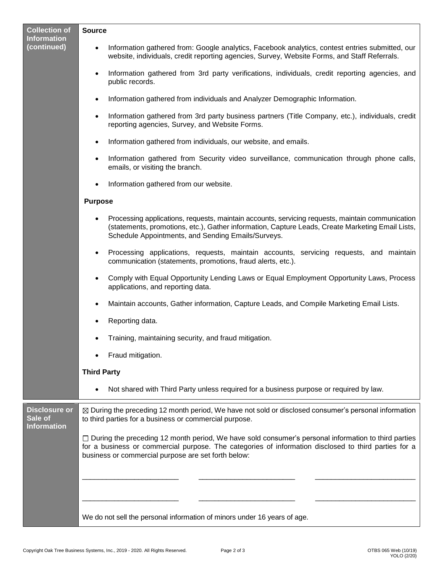| <b>Collection of</b><br><b>Information</b><br>(continued) | <b>Source</b>                                                                                                                                                                                                                                                        |
|-----------------------------------------------------------|----------------------------------------------------------------------------------------------------------------------------------------------------------------------------------------------------------------------------------------------------------------------|
|                                                           | Information gathered from: Google analytics, Facebook analytics, contest entries submitted, our<br>website, individuals, credit reporting agencies, Survey, Website Forms, and Staff Referrals.                                                                      |
|                                                           | Information gathered from 3rd party verifications, individuals, credit reporting agencies, and<br>public records.                                                                                                                                                    |
|                                                           | Information gathered from individuals and Analyzer Demographic Information.                                                                                                                                                                                          |
|                                                           | Information gathered from 3rd party business partners (Title Company, etc.), individuals, credit<br>$\bullet$<br>reporting agencies, Survey, and Website Forms.                                                                                                      |
|                                                           | Information gathered from individuals, our website, and emails.<br>$\bullet$                                                                                                                                                                                         |
|                                                           | Information gathered from Security video surveillance, communication through phone calls,<br>emails, or visiting the branch.                                                                                                                                         |
|                                                           | Information gathered from our website.                                                                                                                                                                                                                               |
|                                                           | <b>Purpose</b>                                                                                                                                                                                                                                                       |
|                                                           | Processing applications, requests, maintain accounts, servicing requests, maintain communication<br>(statements, promotions, etc.), Gather information, Capture Leads, Create Marketing Email Lists,<br>Schedule Appointments, and Sending Emails/Surveys.           |
|                                                           | Processing applications, requests, maintain accounts, servicing requests, and maintain<br>communication (statements, promotions, fraud alerts, etc.).                                                                                                                |
|                                                           | Comply with Equal Opportunity Lending Laws or Equal Employment Opportunity Laws, Process<br>applications, and reporting data.                                                                                                                                        |
|                                                           | Maintain accounts, Gather information, Capture Leads, and Compile Marketing Email Lists.                                                                                                                                                                             |
|                                                           | Reporting data.                                                                                                                                                                                                                                                      |
|                                                           | Training, maintaining security, and fraud mitigation.                                                                                                                                                                                                                |
|                                                           | Fraud mitigation.                                                                                                                                                                                                                                                    |
|                                                           | <b>Third Party</b>                                                                                                                                                                                                                                                   |
|                                                           | Not shared with Third Party unless required for a business purpose or required by law.                                                                                                                                                                               |
| <b>Disclosure or</b><br>Sale of<br><b>Information</b>     | ⊠ During the preceding 12 month period, We have not sold or disclosed consumer's personal information<br>to third parties for a business or commercial purpose.                                                                                                      |
|                                                           | □ During the preceding 12 month period, We have sold consumer's personal information to third parties<br>for a business or commercial purpose. The categories of information disclosed to third parties for a<br>business or commercial purpose are set forth below: |
|                                                           |                                                                                                                                                                                                                                                                      |
|                                                           | We do not sell the personal information of minors under 16 years of age.                                                                                                                                                                                             |